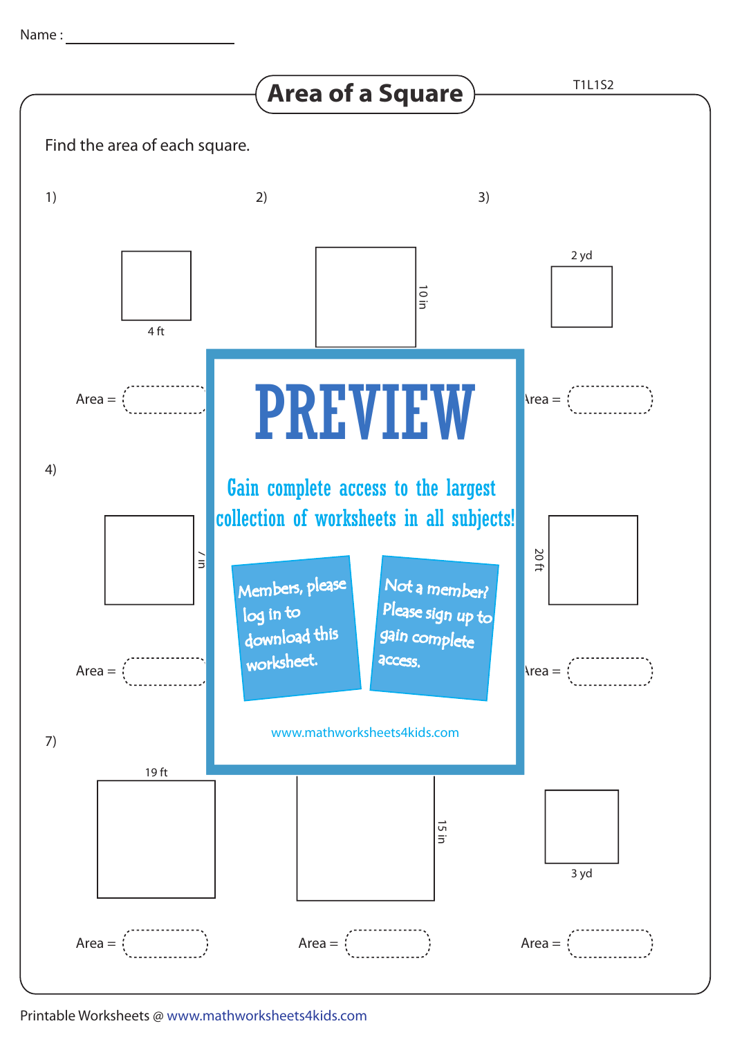